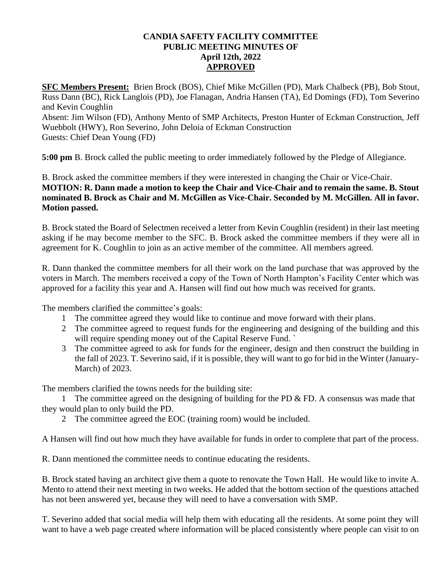## **CANDIA SAFETY FACILITY COMMITTEE PUBLIC MEETING MINUTES OF April 12th, 2022 APPROVED**

**SFC Members Present:** Brien Brock (BOS), Chief Mike McGillen (PD), Mark Chalbeck (PB), Bob Stout, Russ Dann (BC), Rick Langlois (PD), Joe Flanagan, Andria Hansen (TA), Ed Domings (FD), Tom Severino and Kevin Coughlin Absent: Jim Wilson (FD), Anthony Mento of SMP Architects, Preston Hunter of Eckman Construction, Jeff Wuebbolt (HWY), Ron Severino, John Deloia of Eckman Construction

Guests: Chief Dean Young (FD)

**5:00 pm** B. Brock called the public meeting to order immediately followed by the Pledge of Allegiance.

## B. Brock asked the committee members if they were interested in changing the Chair or Vice-Chair. **MOTION: R. Dann made a motion to keep the Chair and Vice-Chair and to remain the same. B. Stout nominated B. Brock as Chair and M. McGillen as Vice-Chair. Seconded by M. McGillen. All in favor. Motion passed.**

B. Brock stated the Board of Selectmen received a letter from Kevin Coughlin (resident) in their last meeting asking if he may become member to the SFC. B. Brock asked the committee members if they were all in agreement for K. Coughlin to join as an active member of the committee. All members agreed.

R. Dann thanked the committee members for all their work on the land purchase that was approved by the voters in March. The members received a copy of the Town of North Hampton's Facility Center which was approved for a facility this year and A. Hansen will find out how much was received for grants.

The members clarified the committee's goals:

- 1 The committee agreed they would like to continue and move forward with their plans.
- 2 The committee agreed to request funds for the engineering and designing of the building and this will require spending money out of the Capital Reserve Fund.
- 3 The committee agreed to ask for funds for the engineer, design and then construct the building in the fall of 2023. T. Severino said, if it is possible, they will want to go for bid in the Winter (January-March) of 2023.

The members clarified the towns needs for the building site:

1 The committee agreed on the designing of building for the PD  $&$  FD. A consensus was made that they would plan to only build the PD.

2 The committee agreed the EOC (training room) would be included.

A Hansen will find out how much they have available for funds in order to complete that part of the process.

R. Dann mentioned the committee needs to continue educating the residents.

B. Brock stated having an architect give them a quote to renovate the Town Hall. He would like to invite A. Mento to attend their next meeting in two weeks. He added that the bottom section of the questions attached has not been answered yet, because they will need to have a conversation with SMP.

T. Severino added that social media will help them with educating all the residents. At some point they will want to have a web page created where information will be placed consistently where people can visit to on